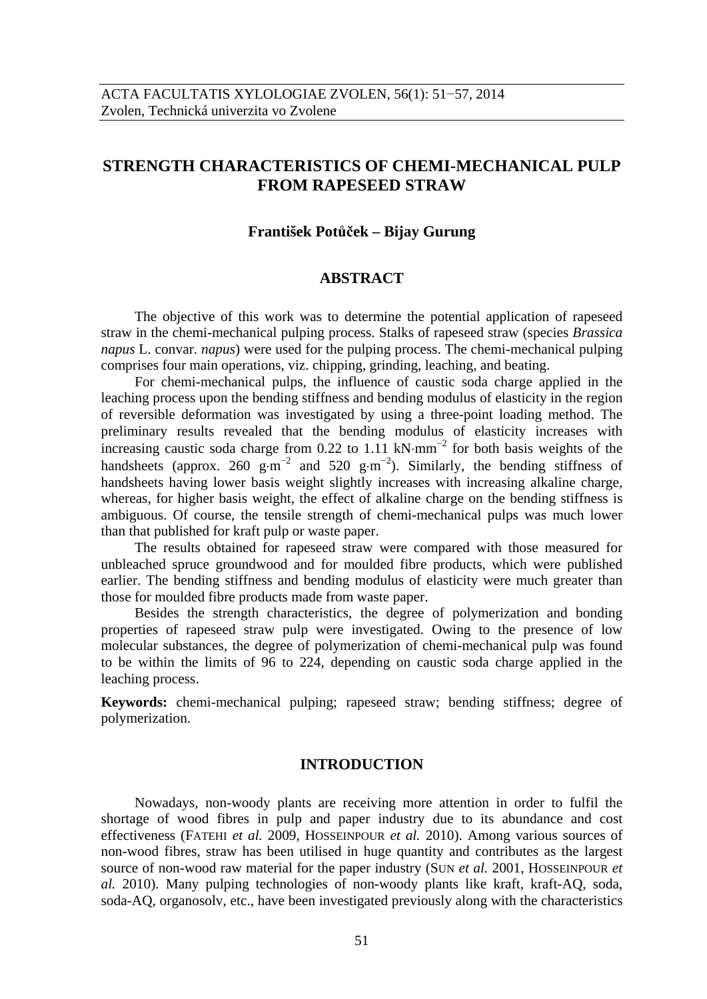# **STRENGTH CHARACTERISTICS OF CHEMI-MECHANICAL PULP FROM RAPESEED STRAW**

# **František Potůček – Bijay Gurung**

#### **ABSTRACT**

The objective of this work was to determine the potential application of rapeseed straw in the chemi-mechanical pulping process. Stalks of rapeseed straw (species *Brassica napus* L. convar. *napus*) were used for the pulping process. The chemi-mechanical pulping comprises four main operations, viz. chipping, grinding, leaching, and beating.

For chemi-mechanical pulps, the influence of caustic soda charge applied in the leaching process upon the bending stiffness and bending modulus of elasticity in the region of reversible deformation was investigated by using a three-point loading method. The preliminary results revealed that the bending modulus of elasticity increases with increasing caustic soda charge from 0.22 to 1.11 kN·mm<sup>-2</sup> for both basis weights of the handsheets (approx. 260 g·m<sup>-2</sup> and 520 g·m<sup>-2</sup>). Similarly, the bending stiffness of handsheets having lower basis weight slightly increases with increasing alkaline charge, whereas, for higher basis weight, the effect of alkaline charge on the bending stiffness is ambiguous. Of course, the tensile strength of chemi-mechanical pulps was much lower than that published for kraft pulp or waste paper.

The results obtained for rapeseed straw were compared with those measured for unbleached spruce groundwood and for moulded fibre products, which were published earlier. The bending stiffness and bending modulus of elasticity were much greater than those for moulded fibre products made from waste paper.

Besides the strength characteristics, the degree of polymerization and bonding properties of rapeseed straw pulp were investigated. Owing to the presence of low molecular substances, the degree of polymerization of chemi-mechanical pulp was found to be within the limits of 96 to 224, depending on caustic soda charge applied in the leaching process.

**Keywords:** chemi-mechanical pulping; rapeseed straw; bending stiffness; degree of polymerization.

### **INTRODUCTION**

Nowadays, non-woody plants are receiving more attention in order to fulfil the shortage of wood fibres in pulp and paper industry due to its abundance and cost effectiveness (FATEHI *et al.* 2009, HOSSEINPOUR *et al.* 2010). Among various sources of non-wood fibres, straw has been utilised in huge quantity and contributes as the largest source of non-wood raw material for the paper industry (SUN *et al.* 2001, HOSSEINPOUR *et al.* 2010). Many pulping technologies of non-woody plants like kraft, kraft-AQ, soda, soda-AQ, organosolv, etc., have been investigated previously along with the characteristics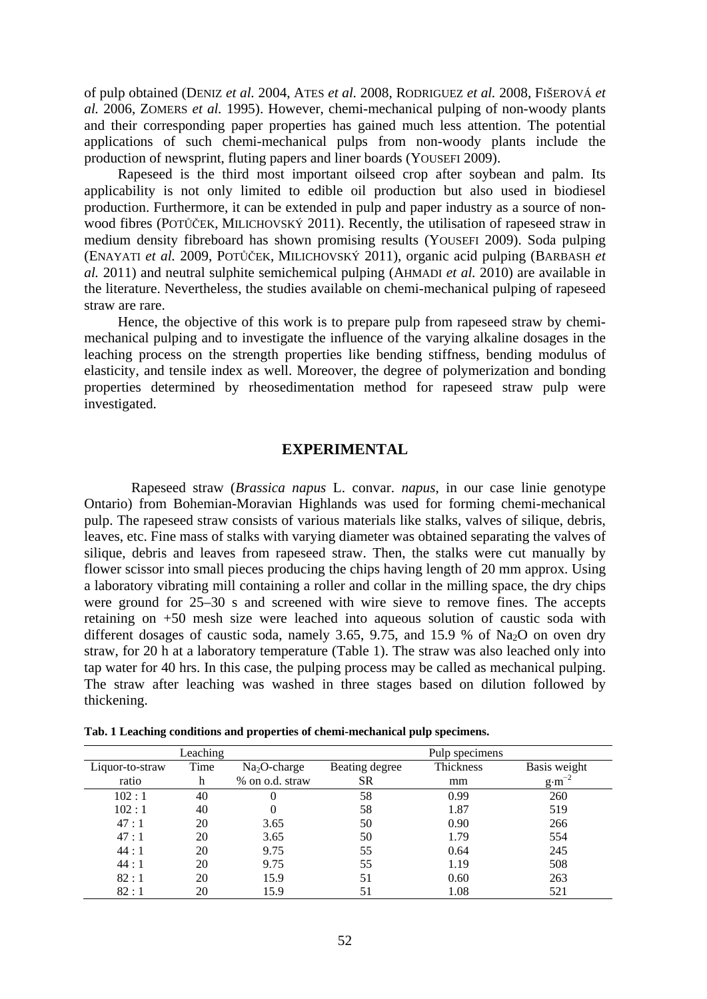of pulp obtained (DENIZ *et al.* 2004, ATES *et al.* 2008, RODRIGUEZ *et al.* 2008, FIŠEROVÁ *et al.* 2006, ZOMERS *et al.* 1995). However, chemi-mechanical pulping of non-woody plants and their corresponding paper properties has gained much less attention. The potential applications of such chemi-mechanical pulps from non-woody plants include the production of newsprint, fluting papers and liner boards (YOUSEFI 2009).

Rapeseed is the third most important oilseed crop after soybean and palm. Its applicability is not only limited to edible oil production but also used in biodiesel production. Furthermore, it can be extended in pulp and paper industry as a source of nonwood fibres (POTŮČEK, MILICHOVSKÝ 2011). Recently, the utilisation of rapeseed straw in medium density fibreboard has shown promising results (YOUSEFI 2009). Soda pulping (ENAYATI *et al.* 2009, POTŮČEK, MILICHOVSKÝ 2011), organic acid pulping (BARBASH *et al.* 2011) and neutral sulphite semichemical pulping (AHMADI *et al.* 2010) are available in the literature. Nevertheless, the studies available on chemi-mechanical pulping of rapeseed straw are rare.

Hence, the objective of this work is to prepare pulp from rapeseed straw by chemimechanical pulping and to investigate the influence of the varying alkaline dosages in the leaching process on the strength properties like bending stiffness, bending modulus of elasticity, and tensile index as well. Moreover, the degree of polymerization and bonding properties determined by rheosedimentation method for rapeseed straw pulp were investigated.

#### **EXPERIMENTAL**

 Rapeseed straw (*Brassica napus* L. convar. *napus*, in our case linie genotype Ontario) from Bohemian-Moravian Highlands was used for forming chemi-mechanical pulp. The rapeseed straw consists of various materials like stalks, valves of silique, debris, leaves, etc. Fine mass of stalks with varying diameter was obtained separating the valves of silique, debris and leaves from rapeseed straw. Then, the stalks were cut manually by flower scissor into small pieces producing the chips having length of 20 mm approx. Using a laboratory vibrating mill containing a roller and collar in the milling space, the dry chips were ground for 25–30 s and screened with wire sieve to remove fines. The accepts retaining on +50 mesh size were leached into aqueous solution of caustic soda with different dosages of caustic soda, namely 3.65, 9.75, and 15.9 % of Na<sub>2</sub>O on oven dry straw, for 20 h at a laboratory temperature (Table 1). The straw was also leached only into tap water for 40 hrs. In this case, the pulping process may be called as mechanical pulping. The straw after leaching was washed in three stages based on dilution followed by thickening.

| Leaching        |      |                 | Pulp specimens |           |                  |  |
|-----------------|------|-----------------|----------------|-----------|------------------|--|
| Liquor-to-straw | Time | $Na2O$ -charge  | Beating degree | Thickness | Basis weight     |  |
| ratio           | h    | % on o.d. straw | SR             | mm        | $g \cdot m^{-2}$ |  |
| 102:1           | 40   |                 | 58             | 0.99      | 260              |  |
| 102:1           | 40   |                 | 58             | 1.87      | 519              |  |
| 47:1            | 20   | 3.65            | 50             | 0.90      | 266              |  |
| 47:1            | 20   | 3.65            | 50             | 1.79      | 554              |  |
| 44:1            | 20   | 9.75            | 55             | 0.64      | 245              |  |
| 44:1            | 20   | 9.75            | 55             | 1.19      | 508              |  |
| 82:1            | 20   | 15.9            | 51             | 0.60      | 263              |  |
| 82:1            | 20   | 15.9            | 51             | 1.08      | 521              |  |

**Tab. 1 Leaching conditions and properties of chemi-mechanical pulp specimens.**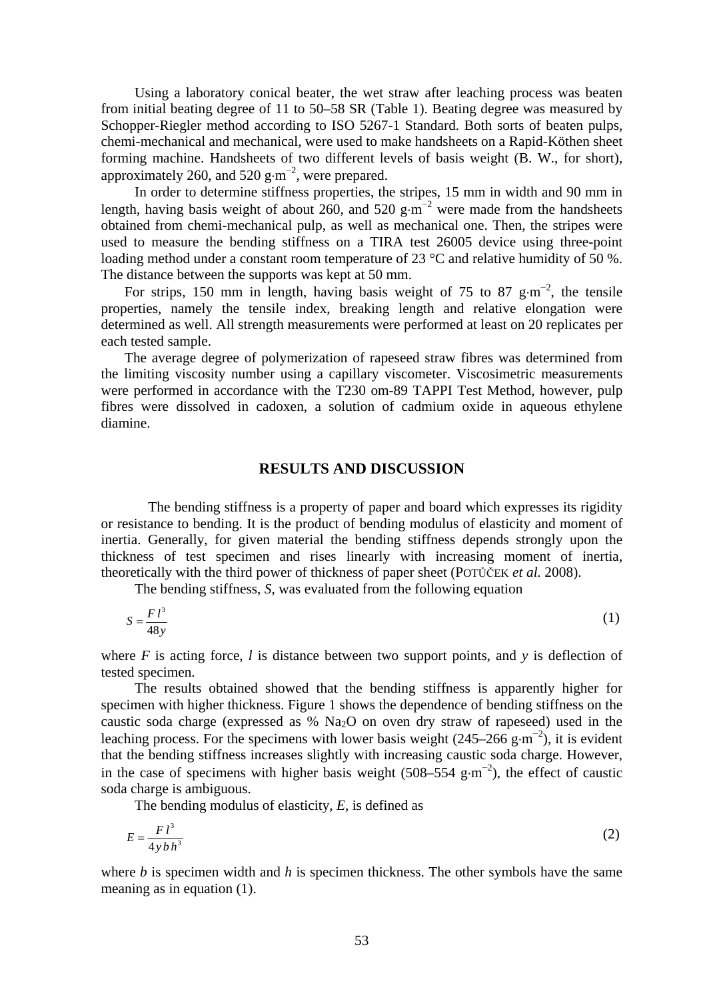Using a laboratory conical beater, the wet straw after leaching process was beaten from initial beating degree of 11 to 50–58 SR (Table 1). Beating degree was measured by Schopper-Riegler method according to ISO 5267-1 Standard. Both sorts of beaten pulps, chemi-mechanical and mechanical, were used to make handsheets on a Rapid-Köthen sheet forming machine. Handsheets of two different levels of basis weight (B. W., for short), approximately 260, and 520  $\text{g}\cdot\text{m}^{-2}$ , were prepared.

In order to determine stiffness properties, the stripes, 15 mm in width and 90 mm in length, having basis weight of about 260, and 520  $g·m^{-2}$  were made from the handsheets obtained from chemi-mechanical pulp, as well as mechanical one. Then, the stripes were used to measure the bending stiffness on a TIRA test 26005 device using three-point loading method under a constant room temperature of 23 °C and relative humidity of 50 %. The distance between the supports was kept at 50 mm.

For strips, 150 mm in length, having basis weight of 75 to 87 g·m<sup>-2</sup>, the tensile properties, namely the tensile index, breaking length and relative elongation were determined as well. All strength measurements were performed at least on 20 replicates per each tested sample.

The average degree of polymerization of rapeseed straw fibres was determined from the limiting viscosity number using a capillary viscometer. Viscosimetric measurements were performed in accordance with the T230 om-89 TAPPI Test Method, however, pulp fibres were dissolved in cadoxen, a solution of cadmium oxide in aqueous ethylene diamine.

#### **RESULTS AND DISCUSSION**

 The bending stiffness is a property of paper and board which expresses its rigidity or resistance to bending. It is the product of bending modulus of elasticity and moment of inertia. Generally, for given material the bending stiffness depends strongly upon the thickness of test specimen and rises linearly with increasing moment of inertia, theoretically with the third power of thickness of paper sheet (POTŮČEK *et al.* 2008).

The bending stiffness, *S*, was evaluated from the following equation

$$
S = \frac{F l^3}{48y} \tag{1}
$$

where *F* is acting force, *l* is distance between two support points, and *y* is deflection of tested specimen.

The results obtained showed that the bending stiffness is apparently higher for specimen with higher thickness. Figure 1 shows the dependence of bending stiffness on the caustic soda charge (expressed as  $%$  Na<sub>2</sub>O on oven dry straw of rapeseed) used in the leaching process. For the specimens with lower basis weight (245–266 g·m<sup>-2</sup>), it is evident that the bending stiffness increases slightly with increasing caustic soda charge. However, in the case of specimens with higher basis weight (508–554 g·m<sup>-2</sup>), the effect of caustic soda charge is ambiguous.

The bending modulus of elasticity, *E*, is defined as

$$
E = \frac{F l^3}{4 y b h^3} \tag{2}
$$

where *b* is specimen width and *h* is specimen thickness. The other symbols have the same meaning as in equation (1).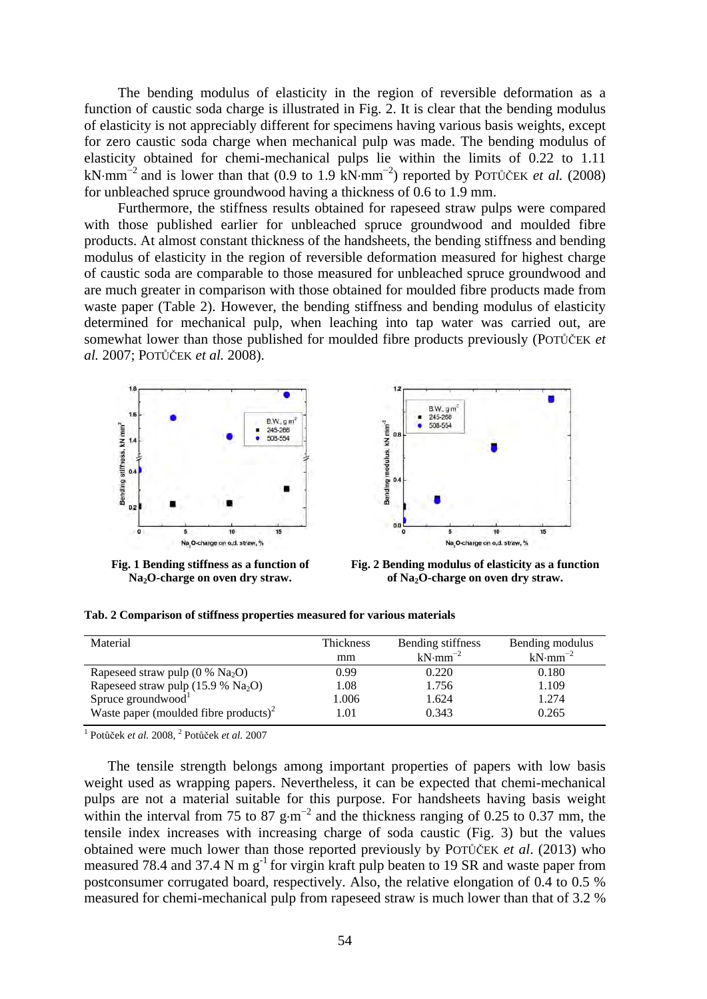The bending modulus of elasticity in the region of reversible deformation as a function of caustic soda charge is illustrated in Fig. 2. It is clear that the bending modulus of elasticity is not appreciably different for specimens having various basis weights, except for zero caustic soda charge when mechanical pulp was made. The bending modulus of elasticity obtained for chemi-mechanical pulps lie within the limits of 0.22 to 1.11 kN·mm<sup>-2</sup> and is lower than that (0.9 to 1.9 kN·mm<sup>-2</sup>) reported by POTŮČEK *et al.* (2008) for unbleached spruce groundwood having a thickness of 0.6 to 1.9 mm.

Furthermore, the stiffness results obtained for rapeseed straw pulps were compared with those published earlier for unbleached spruce groundwood and moulded fibre products. At almost constant thickness of the handsheets, the bending stiffness and bending modulus of elasticity in the region of reversible deformation measured for highest charge of caustic soda are comparable to those measured for unbleached spruce groundwood and are much greater in comparison with those obtained for moulded fibre products made from waste paper (Table 2). However, the bending stiffness and bending modulus of elasticity determined for mechanical pulp, when leaching into tap water was carried out, are somewhat lower than those published for moulded fibre products previously (POTŮČEK *et al.* 2007; POTŮČEK *et al.* 2008).



**Fig. 1 Bending stiffness as a function of Na2O-charge on oven dry straw.** 



**Fig. 2 Bending modulus of elasticity as a function**  of Na<sub>2</sub>O-charge on oven dry straw.

|  | Tab. 2 Comparison of stiffness properties measured for various materials |  |  |  |  |  |
|--|--------------------------------------------------------------------------|--|--|--|--|--|
|--|--------------------------------------------------------------------------|--|--|--|--|--|

| Material                                          | Thickness | Bending stiffness | Bending modulus |
|---------------------------------------------------|-----------|-------------------|-----------------|
|                                                   | mm        | $kN·mm^{-2}$      | $kN·mm^{-2}$    |
| Rapeseed straw pulp $(0\%$ Na <sub>2</sub> O)     | 0.99      | 0.220             | 0.180           |
| Rapeseed straw pulp $(15.9 % Na2O)$               | 1.08      | 1.756             | 1.109           |
| Spruce groundwood <sup>1</sup>                    | 1.006     | 1.624             | 1.274           |
| Waste paper (moulded fibre products) <sup>2</sup> | 1.01      | 0.343             | 0.265           |

1 Potůček *et al.* 2008, <sup>2</sup> Potůček *et al.* 2007

The tensile strength belongs among important properties of papers with low basis weight used as wrapping papers. Nevertheless, it can be expected that chemi-mechanical pulps are not a material suitable for this purpose. For handsheets having basis weight within the interval from 75 to 87 g⋅m<sup>-2</sup> and the thickness ranging of 0.25 to 0.37 mm, the tensile index increases with increasing charge of soda caustic (Fig. 3) but the values obtained were much lower than those reported previously by POTŮČEK *et al*. (2013) who measured 78.4 and 37.4 N m  $g^{-1}$  for virgin kraft pulp beaten to 19 SR and waste paper from postconsumer corrugated board, respectively. Also, the relative elongation of 0.4 to 0.5 % measured for chemi-mechanical pulp from rapeseed straw is much lower than that of 3.2 %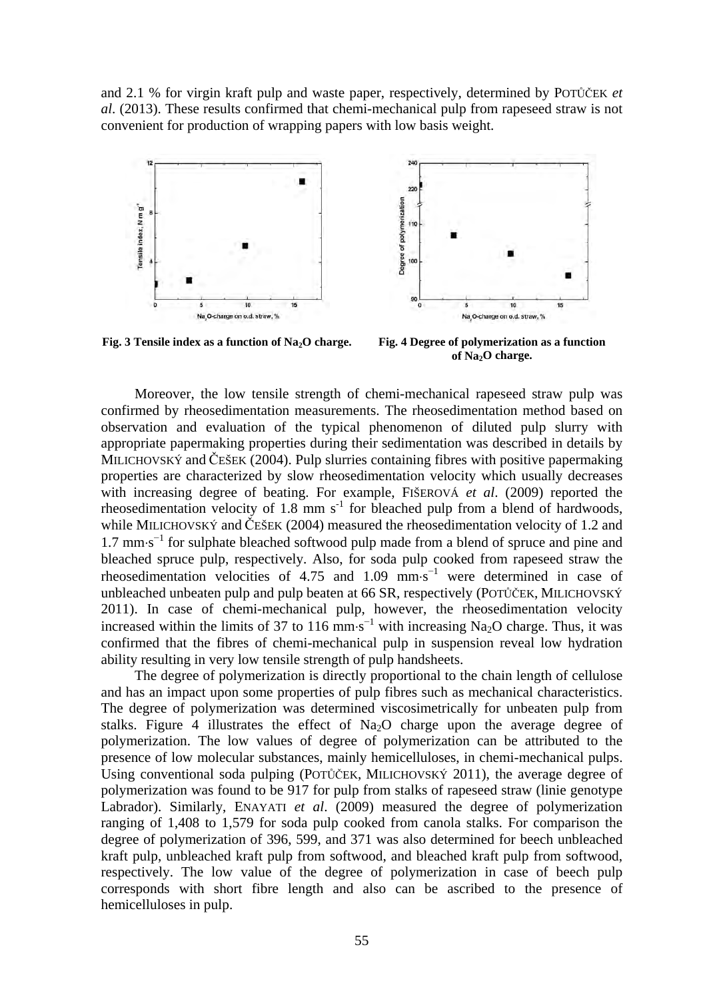and 2.1 % for virgin kraft pulp and waste paper, respectively, determined by POTŮČEK *et al*. (2013). These results confirmed that chemi-mechanical pulp from rapeseed straw is not convenient for production of wrapping papers with low basis weight.





**Fig. 3 Tensile index as a function of Na2O charge. Fig. 4 Degree of polymerization as a function**  of Na<sub>2</sub>O charge.

Moreover, the low tensile strength of chemi-mechanical rapeseed straw pulp was confirmed by rheosedimentation measurements. The rheosedimentation method based on observation and evaluation of the typical phenomenon of diluted pulp slurry with appropriate papermaking properties during their sedimentation was described in details by MILICHOVSKÝ and ČEŠEK (2004). Pulp slurries containing fibres with positive papermaking properties are characterized by slow rheosedimentation velocity which usually decreases with increasing degree of beating. For example, FIŠEROVÁ *et al*. (2009) reported the rheosedimentation velocity of  $1.8 \text{ mm s}^{-1}$  for bleached pulp from a blend of hardwoods, while MILICHOVSKÝ and ČEŠEK (2004) measured the rheosedimentation velocity of 1.2 and  $1.7 \text{ mm} \cdot \text{s}^{-1}$  for sulphate bleached softwood pulp made from a blend of spruce and pine and bleached spruce pulp, respectively. Also, for soda pulp cooked from rapeseed straw the rheosedimentation velocities of 4.75 and 1.09 mm⋅s<sup>-1</sup> were determined in case of unbleached unbeaten pulp and pulp beaten at 66 SR, respectively (POTŮČEK, MILICHOVSKÝ 2011). In case of chemi-mechanical pulp, however, the rheosedimentation velocity increased within the limits of 37 to 116 mm⋅s<sup>-1</sup> with increasing Na<sub>2</sub>O charge. Thus, it was confirmed that the fibres of chemi-mechanical pulp in suspension reveal low hydration ability resulting in very low tensile strength of pulp handsheets.

The degree of polymerization is directly proportional to the chain length of cellulose and has an impact upon some properties of pulp fibres such as mechanical characteristics. The degree of polymerization was determined viscosimetrically for unbeaten pulp from stalks. Figure 4 illustrates the effect of  $Na<sub>2</sub>O$  charge upon the average degree of polymerization. The low values of degree of polymerization can be attributed to the presence of low molecular substances, mainly hemicelluloses, in chemi-mechanical pulps. Using conventional soda pulping (POTŮČEK, MILICHOVSKÝ 2011), the average degree of polymerization was found to be 917 for pulp from stalks of rapeseed straw (linie genotype Labrador). Similarly, ENAYATI *et al*. (2009) measured the degree of polymerization ranging of 1,408 to 1,579 for soda pulp cooked from canola stalks. For comparison the degree of polymerization of 396, 599, and 371 was also determined for beech unbleached kraft pulp, unbleached kraft pulp from softwood, and bleached kraft pulp from softwood, respectively. The low value of the degree of polymerization in case of beech pulp corresponds with short fibre length and also can be ascribed to the presence of hemicelluloses in pulp.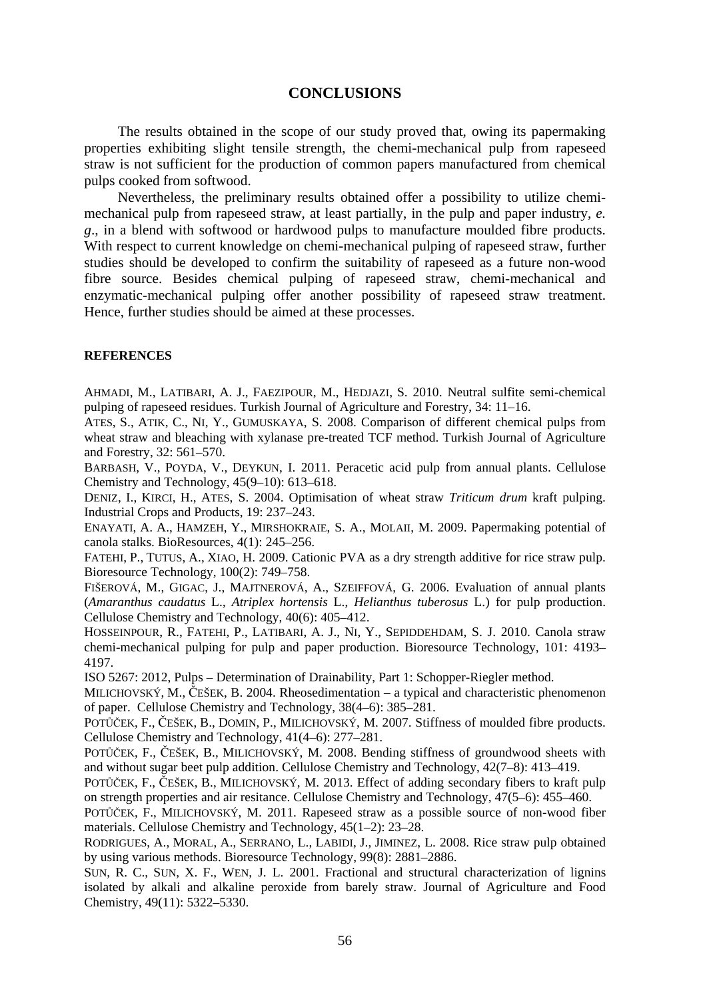## **CONCLUSIONS**

The results obtained in the scope of our study proved that, owing its papermaking properties exhibiting slight tensile strength, the chemi-mechanical pulp from rapeseed straw is not sufficient for the production of common papers manufactured from chemical pulps cooked from softwood.

Nevertheless, the preliminary results obtained offer a possibility to utilize chemimechanical pulp from rapeseed straw, at least partially, in the pulp and paper industry, *e. g*., in a blend with softwood or hardwood pulps to manufacture moulded fibre products. With respect to current knowledge on chemi-mechanical pulping of rapeseed straw, further studies should be developed to confirm the suitability of rapeseed as a future non-wood fibre source. Besides chemical pulping of rapeseed straw, chemi-mechanical and enzymatic-mechanical pulping offer another possibility of rapeseed straw treatment. Hence, further studies should be aimed at these processes.

#### **REFERENCES**

AHMADI, M., LATIBARI, A. J., FAEZIPOUR, M., HEDJAZI, S. 2010. Neutral sulfite semi-chemical pulping of rapeseed residues. Turkish Journal of Agriculture and Forestry, 34: 11–16.

ATES, S., ATIK, C., NI, Y., GUMUSKAYA, S. 2008. Comparison of different chemical pulps from wheat straw and bleaching with xylanase pre-treated TCF method. Turkish Journal of Agriculture and Forestry, 32: 561–570.

BARBASH, V., POYDA, V., DEYKUN, I. 2011. Peracetic acid pulp from annual plants. Cellulose Chemistry and Technology, 45(9–10): 613–618.

DENIZ, I., KIRCI, H., ATES, S. 2004. Optimisation of wheat straw *Triticum drum* kraft pulping. Industrial Crops and Products, 19: 237–243.

ENAYATI, A. A., HAMZEH, Y., MIRSHOKRAIE, S. A., MOLAII, M. 2009. Papermaking potential of canola stalks. BioResources, 4(1): 245–256.

FATEHI, P., TUTUS, A., XIAO, H. 2009. Cationic PVA as a dry strength additive for rice straw pulp. Bioresource Technology, 100(2): 749–758.

FIŠEROVÁ, M., GIGAC, J., MAJTNEROVÁ, A., SZEIFFOVÁ, G. 2006. Evaluation of annual plants (*Amaranthus caudatus* L., *Atriplex hortensis* L., *Helianthus tuberosus* L.) for pulp production. Cellulose Chemistry and Technology, 40(6): 405–412.

HOSSEINPOUR, R., FATEHI, P., LATIBARI, A. J., NI, Y., SEPIDDEHDAM, S. J. 2010. Canola straw chemi-mechanical pulping for pulp and paper production. Bioresource Technology, 101: 4193– 4197.

ISO 5267: 2012, Pulps – Determination of Drainability, Part 1: Schopper-Riegler method.

MILICHOVSKÝ, M., ČEŠEK, B. 2004. Rheosedimentation – a typical and characteristic phenomenon of paper. Cellulose Chemistry and Technology, 38(4–6): 385–281.

POTŮČEK, F., ČEŠEK, B., DOMIN, P., MILICHOVSKÝ, M. 2007. Stiffness of moulded fibre products. Cellulose Chemistry and Technology, 41(4–6): 277–281.

POTŮČEK, F., ČEŠEK, B., MILICHOVSKÝ, M. 2008. Bending stiffness of groundwood sheets with and without sugar beet pulp addition. Cellulose Chemistry and Technology, 42(7–8): 413–419.

POTŮČEK, F., ČEŠEK, B., MILICHOVSKÝ, M. 2013. Effect of adding secondary fibers to kraft pulp on strength properties and air resitance. Cellulose Chemistry and Technology, 47(5–6): 455–460.

POTŮČEK, F., MILICHOVSKÝ, M. 2011. Rapeseed straw as a possible source of non-wood fiber materials. Cellulose Chemistry and Technology, 45(1–2): 23–28.

RODRIGUES, A., MORAL, A., SERRANO, L., LABIDI, J., JIMINEZ, L. 2008. Rice straw pulp obtained by using various methods. Bioresource Technology, 99(8): 2881–2886.

SUN, R. C., SUN, X. F., WEN, J. L. 2001. Fractional and structural characterization of lignins isolated by alkali and alkaline peroxide from barely straw. Journal of Agriculture and Food Chemistry, 49(11): 5322–5330.